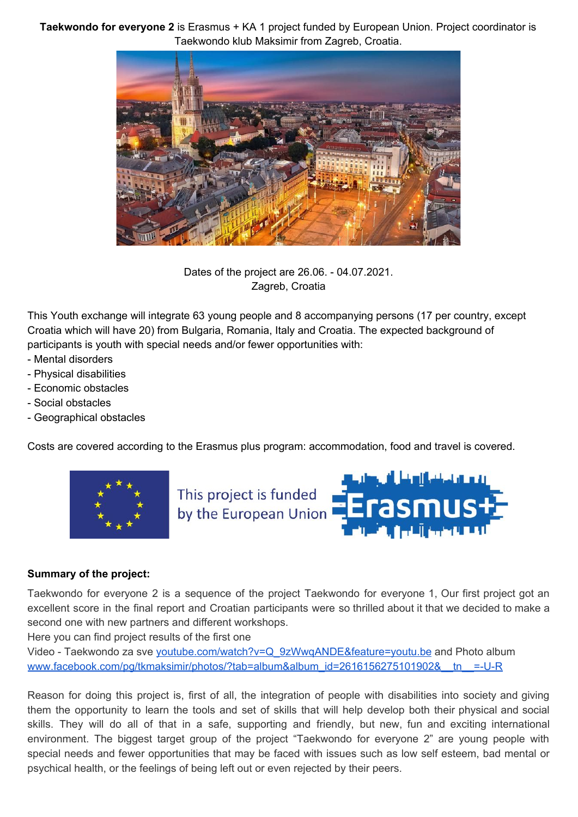**Taekwondo for everyone 2** is Erasmus + KA 1 project funded by European Union. Project coordinator is Taekwondo klub Maksimir from Zagreb, Croatia.



Dates of the project are 26.06. - 04.07.2021. Zagreb, Croatia

This Youth exchange will integrate 63 young people and 8 accompanying persons (17 per country, except Croatia which will have 20) from Bulgaria, Romania, Italy and Croatia. The expected background of participants is youth with special needs and/or fewer opportunities with:

- Mental disorders
- Physical disabilities
- Economic obstacles
- Social obstacles
- Geographical obstacles

Costs are covered according to the Erasmus plus program: accommodation, food and travel is covered.





#### **Summary of the project:**

Taekwondo for everyone 2 is a sequence of the project Taekwondo for everyone 1, Our first project got an excellent score in the final report and Croatian participants were so thrilled about it that we decided to make a second one with new partners and different workshops.

Here you can find project results of the first one

Video - Taekwondo za sve [youtube.com/watch?v=Q\\_9zWwqANDE&feature=youtu.be](http://youtube.com/watch?v=Q_9zWwqANDE&feature=youtu.be) and Photo album www.facebook.com/pg/tkmaksimir/photos/?tab=album&album\_id=2616156275101902&\_tn\_\_=-U-R

Reason for doing this project is, first of all, the integration of people with disabilities into society and giving them the opportunity to learn the tools and set of skills that will help develop both their physical and social skills. They will do all of that in a safe, supporting and friendly, but new, fun and exciting international environment. The biggest target group of the project "Taekwondo for everyone 2" are young people with special needs and fewer opportunities that may be faced with issues such as low self esteem, bad mental or psychical health, or the feelings of being left out or even rejected by their peers.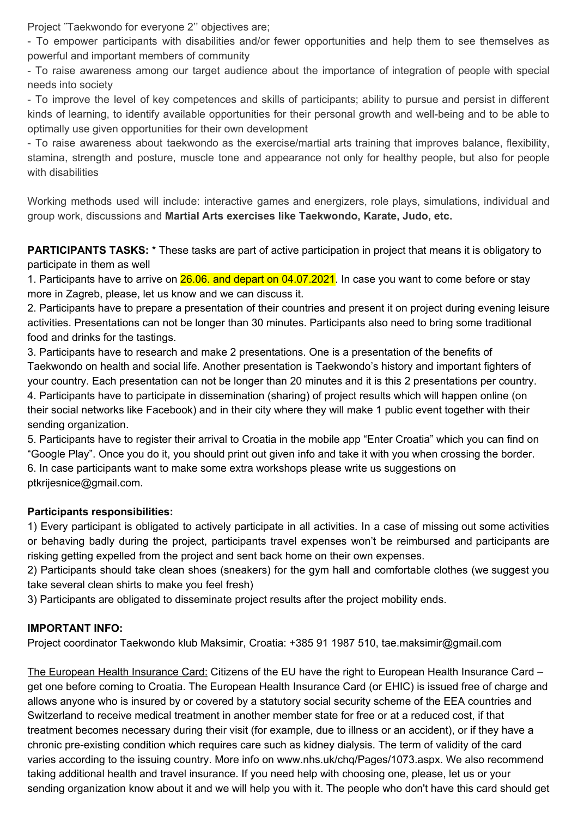Project ˝Taekwondo for everyone 2'' objectives are;

- To empower participants with disabilities and/or fewer opportunities and help them to see themselves as powerful and important members of community

- To raise awareness among our target audience about the importance of integration of people with special needs into society

- To improve the level of key competences and skills of participants; ability to pursue and persist in different kinds of learning, to identify available opportunities for their personal growth and well-being and to be able to optimally use given opportunities for their own development

- To raise awareness about taekwondo as the exercise/martial arts training that improves balance, flexibility, stamina, strength and posture, muscle tone and appearance not only for healthy people, but also for people with disabilities

Working methods used will include: interactive games and energizers, role plays, simulations, individual and group work, discussions and **Martial Arts exercises like Taekwondo, Karate, Judo, etc.**

**PARTICIPANTS TASKS:** \* These tasks are part of active participation in project that means it is obligatory to participate in them as well

1. Participants have to arrive on 26.06. and depart on 04.07.2021. In case you want to come before or stay more in Zagreb, please, let us know and we can discuss it.

2. Participants have to prepare a presentation of their countries and present it on project during evening leisure activities. Presentations can not be longer than 30 minutes. Participants also need to bring some traditional food and drinks for the tastings.

3. Participants have to research and make 2 presentations. One is a presentation of the benefits of Taekwondo on health and social life. Another presentation is Taekwondo's history and important fighters of your country. Each presentation can not be longer than 20 minutes and it is this 2 presentations per country. 4. Participants have to participate in dissemination (sharing) of project results which will happen online (on their social networks like Facebook) and in their city where they will make 1 public event together with their sending organization.

5. Participants have to register their arrival to Croatia in the mobile app "Enter Croatia" which you can find on "Google Play". Once you do it, you should print out given info and take it with you when crossing the border. 6. In case participants want to make some extra workshops please write us suggestions on ptkrijesnice@gmail.com.

# **Participants responsibilities:**

1) Every participant is obligated to actively participate in all activities. In a case of missing out some activities or behaving badly during the project, participants travel expenses won't be reimbursed and participants are risking getting expelled from the project and sent back home on their own expenses.

2) Participants should take clean shoes (sneakers) for the gym hall and comfortable clothes (we suggest you take several clean shirts to make you feel fresh)

3) Participants are obligated to disseminate project results after the project mobility ends.

### **IMPORTANT INFO:**

Project coordinator Taekwondo klub Maksimir, Croatia: +385 91 1987 510, tae.maksimir@gmail.com

The European Health Insurance Card: Citizens of the EU have the right to European Health Insurance Card – get one before coming to Croatia. The European Health Insurance Card (or EHIC) is issued free of charge and allows anyone who is insured by or covered by a statutory social security scheme of the EEA countries and Switzerland to receive medical treatment in another member state for free or at a reduced cost, if that treatment becomes necessary during their visit (for example, due to illness or an accident), or if they have a chronic pre-existing condition which requires care such as kidney dialysis. The term of validity of the card varies according to the issuing country. More info on www.nhs.uk/chq/Pages/1073.aspx. We also recommend taking additional health and travel insurance. If you need help with choosing one, please, let us or your sending organization know about it and we will help you with it. The people who don't have this card should get